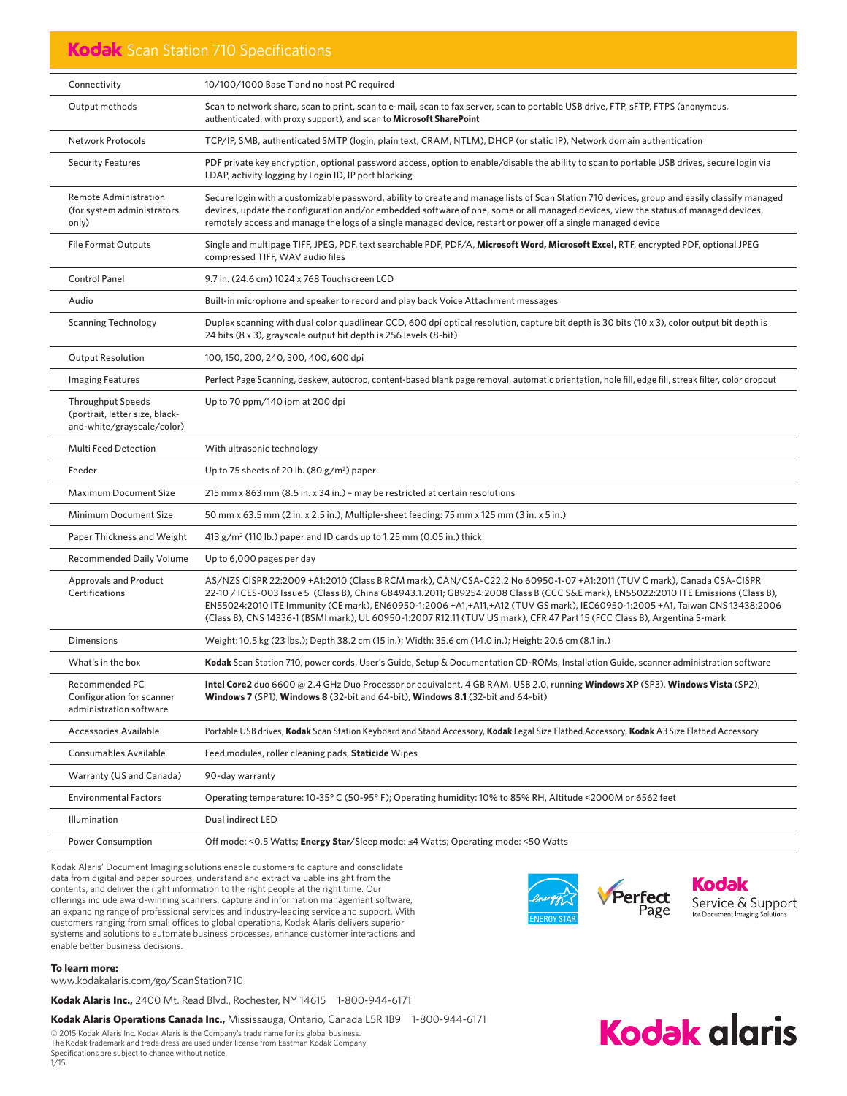### Kodak Scan Station 710 Specifications

| Connectivity                                                                             | 10/100/1000 Base T and no host PC required                                                                                                                                                                                                                                                                                                                                                                                                                                                                             |
|------------------------------------------------------------------------------------------|------------------------------------------------------------------------------------------------------------------------------------------------------------------------------------------------------------------------------------------------------------------------------------------------------------------------------------------------------------------------------------------------------------------------------------------------------------------------------------------------------------------------|
| Output methods                                                                           | Scan to network share, scan to print, scan to e-mail, scan to fax server, scan to portable USB drive, FTP, sFTP, FTPS (anonymous,<br>authenticated, with proxy support), and scan to Microsoft SharePoint                                                                                                                                                                                                                                                                                                              |
| <b>Network Protocols</b>                                                                 | TCP/IP, SMB, authenticated SMTP (login, plain text, CRAM, NTLM), DHCP (or static IP), Network domain authentication                                                                                                                                                                                                                                                                                                                                                                                                    |
| <b>Security Features</b>                                                                 | PDF private key encryption, optional password access, option to enable/disable the ability to scan to portable USB drives, secure login via<br>LDAP, activity logging by Login ID, IP port blocking                                                                                                                                                                                                                                                                                                                    |
| <b>Remote Administration</b><br>(for system administrators<br>only)                      | Secure login with a customizable password, ability to create and manage lists of Scan Station 710 devices, group and easily classify managed<br>devices, update the configuration and/or embedded software of one, some or all managed devices, view the status of managed devices,<br>remotely access and manage the logs of a single managed device, restart or power off a single managed device                                                                                                                    |
| <b>File Format Outputs</b>                                                               | Single and multipage TIFF, JPEG, PDF, text searchable PDF, PDF/A, Microsoft Word, Microsoft Excel, RTF, encrypted PDF, optional JPEG<br>compressed TIFF, WAV audio files                                                                                                                                                                                                                                                                                                                                               |
| <b>Control Panel</b>                                                                     | 9.7 in. (24.6 cm) 1024 x 768 Touchscreen LCD                                                                                                                                                                                                                                                                                                                                                                                                                                                                           |
| Audio                                                                                    | Built-in microphone and speaker to record and play back Voice Attachment messages                                                                                                                                                                                                                                                                                                                                                                                                                                      |
| <b>Scanning Technology</b>                                                               | Duplex scanning with dual color quadlinear CCD, 600 dpi optical resolution, capture bit depth is 30 bits (10 x 3), color output bit depth is<br>24 bits (8 x 3), grayscale output bit depth is 256 levels (8-bit)                                                                                                                                                                                                                                                                                                      |
| <b>Output Resolution</b>                                                                 | 100, 150, 200, 240, 300, 400, 600 dpi                                                                                                                                                                                                                                                                                                                                                                                                                                                                                  |
| <b>Imaging Features</b>                                                                  | Perfect Page Scanning, deskew, autocrop, content-based blank page removal, automatic orientation, hole fill, edge fill, streak filter, color dropout                                                                                                                                                                                                                                                                                                                                                                   |
| <b>Throughput Speeds</b><br>(portrait, letter size, black-<br>and-white/grayscale/color) | Up to 70 ppm/140 ipm at 200 dpi                                                                                                                                                                                                                                                                                                                                                                                                                                                                                        |
| <b>Multi Feed Detection</b>                                                              | With ultrasonic technology                                                                                                                                                                                                                                                                                                                                                                                                                                                                                             |
| Feeder                                                                                   | Up to 75 sheets of 20 lb. $(80 g/m^2)$ paper                                                                                                                                                                                                                                                                                                                                                                                                                                                                           |
| <b>Maximum Document Size</b>                                                             | 215 mm x 863 mm (8.5 in. x 34 in.) - may be restricted at certain resolutions                                                                                                                                                                                                                                                                                                                                                                                                                                          |
| Minimum Document Size                                                                    | 50 mm x 63.5 mm (2 in. x 2.5 in.); Multiple-sheet feeding: 75 mm x 125 mm (3 in. x 5 in.)                                                                                                                                                                                                                                                                                                                                                                                                                              |
| Paper Thickness and Weight                                                               | 413 $g/m^2$ (110 lb.) paper and ID cards up to 1.25 mm (0.05 in.) thick                                                                                                                                                                                                                                                                                                                                                                                                                                                |
| <b>Recommended Daily Volume</b>                                                          | Up to 6,000 pages per day                                                                                                                                                                                                                                                                                                                                                                                                                                                                                              |
| <b>Approvals and Product</b><br>Certifications                                           | AS/NZS CISPR 22:2009 +A1:2010 (Class B RCM mark), CAN/CSA-C22.2 No 60950-1-07 +A1:2011 (TUV C mark), Canada CSA-CISPR<br>22-10 / ICES-003 Issue 5 (Class B), China GB4943.1.2011; GB9254:2008 Class B (CCC S&E mark), EN55022:2010 ITE Emissions (Class B),<br>EN55024:2010 ITE Immunity (CE mark), EN60950-1:2006 +A1,+A11,+A12 (TUV GS mark), IEC60950-1:2005 +A1, Taiwan CNS 13438:2006<br>(Class B), CNS 14336-1 (BSMI mark), UL 60950-1:2007 R12.11 (TUV US mark), CFR 47 Part 15 (FCC Class B), Argentina S-mark |
| <b>Dimensions</b>                                                                        | Weight: 10.5 kg (23 lbs.); Depth 38.2 cm (15 in.); Width: 35.6 cm (14.0 in.); Height: 20.6 cm (8.1 in.)                                                                                                                                                                                                                                                                                                                                                                                                                |
| What's in the box                                                                        | Kodak Scan Station 710, power cords, User's Guide, Setup & Documentation CD-ROMs, Installation Guide, scanner administration software                                                                                                                                                                                                                                                                                                                                                                                  |
| Recommended PC<br>Configuration for scanner<br>administration software                   | Intel Core2 duo 6600 @ 2.4 GHz Duo Processor or equivalent, 4 GB RAM, USB 2.0, running Windows XP (SP3), Windows Vista (SP2),<br><b>Windows 7</b> (SP1), <b>Windows 8</b> (32-bit and 64-bit), <b>Windows 8.1</b> (32-bit and 64-bit)                                                                                                                                                                                                                                                                                  |
| <b>Accessories Available</b>                                                             | Portable USB drives, Kodak Scan Station Keyboard and Stand Accessory, Kodak Legal Size Flatbed Accessory, Kodak A3 Size Flatbed Accessory                                                                                                                                                                                                                                                                                                                                                                              |
| <b>Consumables Available</b>                                                             | Feed modules, roller cleaning pads, Staticide Wipes                                                                                                                                                                                                                                                                                                                                                                                                                                                                    |
| Warranty (US and Canada)                                                                 | 90-day warranty                                                                                                                                                                                                                                                                                                                                                                                                                                                                                                        |
| <b>Environmental Factors</b>                                                             | Operating temperature: 10-35° C (50-95° F); Operating humidity: 10% to 85% RH, Altitude <2000M or 6562 feet                                                                                                                                                                                                                                                                                                                                                                                                            |
|                                                                                          |                                                                                                                                                                                                                                                                                                                                                                                                                                                                                                                        |
| Illumination                                                                             | Dual indirect LED                                                                                                                                                                                                                                                                                                                                                                                                                                                                                                      |

Kodak Alaris' Document Imaging solutions enable customers to capture and consolidate data from digital and paper sources, understand and extract valuable insight from the contents, and deliver the right information to the right people at the right time. Our offerings include award-winning scanners, capture and information management software, an expanding range of professional services and industry-leading service and support. With customers ranging from small offices to global operations, Kodak Alaris delivers superior systems and solutions to automate business processes, enhance customer interactions and enable better business decisions.



**Kodak alaris** 

#### **To learn more:**

www.kodakalaris.com/go/ScanStation710

**Kodak Alaris Inc.,** 2400 Mt. Read Blvd., Rochester, NY 14615 1-800-944-6171

Kodak Alaris Operations Canada Inc., Mississauga, Ontario, Canada L5R 1B9 1-800-944-6171

© 2015 Kodak Alaris Inc. Kodak Alaris is the Company's trade name for its global business. The Kodak trademark and trade dress are used under license from Eastman Kodak Company. Specifi cations are subject to change without notice.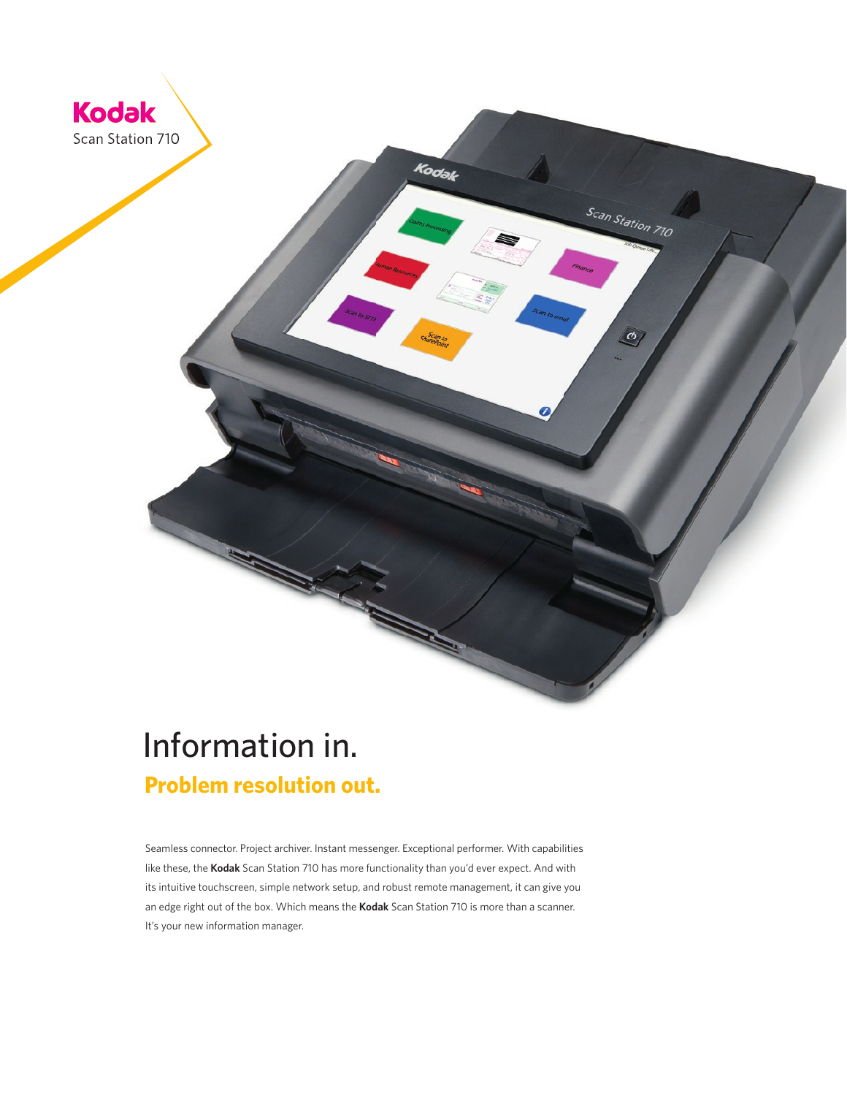

## Information in.  **Problem resolution out.**

Seamless connector. Project archiver. Instant messenger. Exceptional performer. With capabilities like these, the **Kodak** Scan Station 710 has more functionality than you'd ever expect. And with its intuitive touchscreen, simple network setup, and robust remote management, it can give you an edge right out of the box. Which means the **Kodak** Scan Station 710 is more than a scanner. It's your new information manager.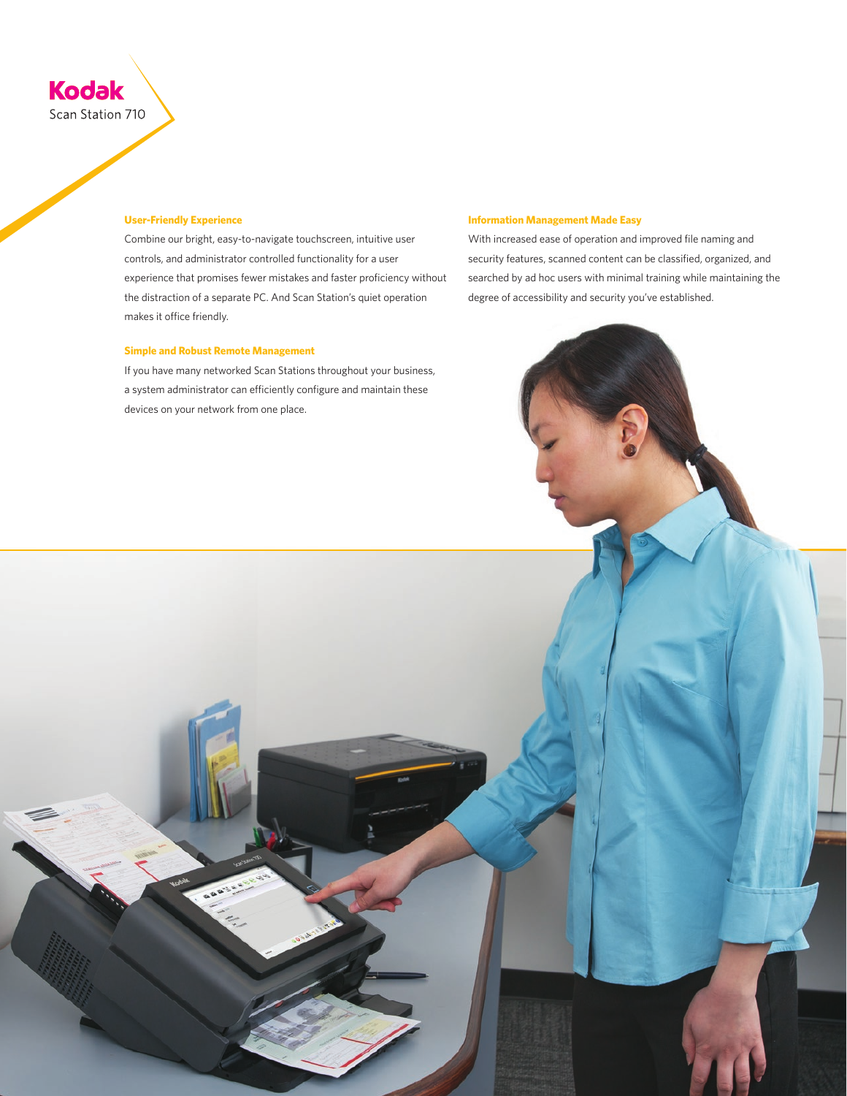

#### **User-Friendly Experience**

Combine our bright, easy-to-navigate touchscreen, intuitive user controls, and administrator controlled functionality for a user experience that promises fewer mistakes and faster proficiency without the distraction of a separate PC. And Scan Station's quiet operation makes it office friendly.

#### **Simple and Robust Remote Management**

If you have many networked Scan Stations throughout your business, a system administrator can efficiently configure and maintain these devices on your network from one place.

#### **Information Management Made Easy**

With increased ease of operation and improved file naming and security features, scanned content can be classified, organized, and searched by ad hoc users with minimal training while maintaining the degree of accessibility and security you've established.